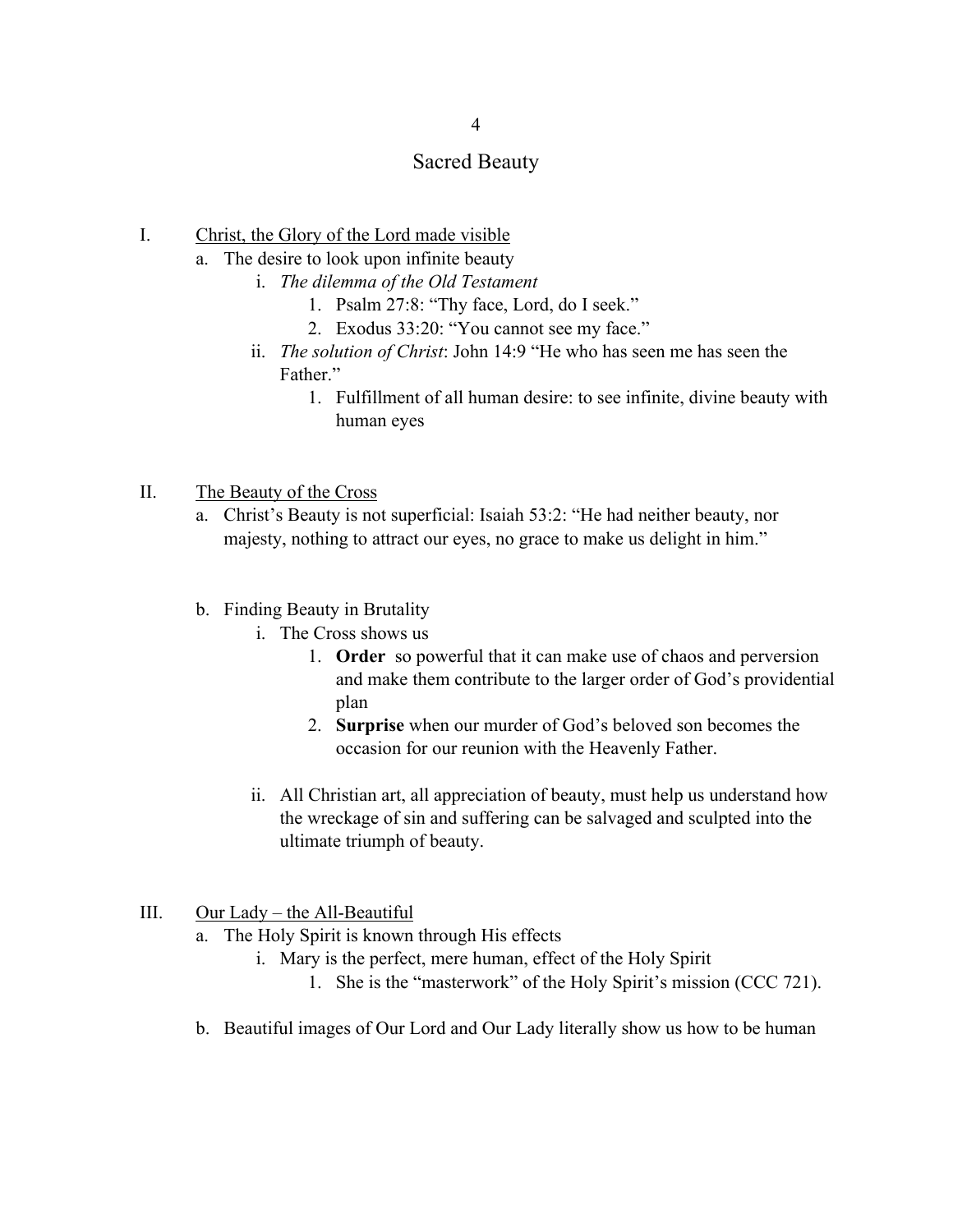## Sacred Beauty

- I. Christ, the Glory of the Lord made visible
	- a. The desire to look upon infinite beauty
		- i. *The dilemma of the Old Testament*
			- 1. Psalm 27:8: "Thy face, Lord, do I seek."
			- 2. Exodus 33:20: "You cannot see my face."
		- ii. *The solution of Christ*: John 14:9 "He who has seen me has seen the Father."
			- 1. Fulfillment of all human desire: to see infinite, divine beauty with human eyes
- II. The Beauty of the Cross
	- a. Christ's Beauty is not superficial: Isaiah 53:2: "He had neither beauty, nor majesty, nothing to attract our eyes, no grace to make us delight in him."
	- b. Finding Beauty in Brutality
		- i. The Cross shows us
			- 1. **Order** so powerful that it can make use of chaos and perversion and make them contribute to the larger order of God's providential plan
			- 2. **Surprise** when our murder of God's beloved son becomes the occasion for our reunion with the Heavenly Father.
		- ii. All Christian art, all appreciation of beauty, must help us understand how the wreckage of sin and suffering can be salvaged and sculpted into the ultimate triumph of beauty.
- III. Our Lady the All-Beautiful
	- a. The Holy Spirit is known through His effects
		- i. Mary is the perfect, mere human, effect of the Holy Spirit
			- 1. She is the "masterwork" of the Holy Spirit's mission (CCC 721).
	- b. Beautiful images of Our Lord and Our Lady literally show us how to be human